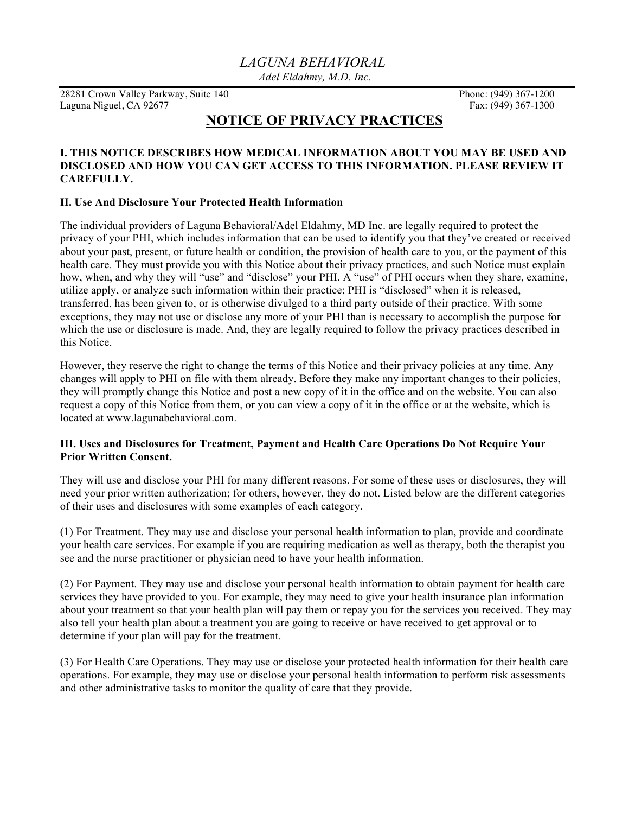*Adel Eldahmy, M.D. Inc.*

28281 Crown Valley Parkway, Suite 140 Phone: (949) 367-1200 Laguna Niguel, CA 92677 Fax: (949) 367-1300

# **NOTICE OF PRIVACY PRACTICES**

### **I. THIS NOTICE DESCRIBES HOW MEDICAL INFORMATION ABOUT YOU MAY BE USED AND DISCLOSED AND HOW YOU CAN GET ACCESS TO THIS INFORMATION. PLEASE REVIEW IT CAREFULLY.**

### **II. Use And Disclosure Your Protected Health Information**

The individual providers of Laguna Behavioral/Adel Eldahmy, MD Inc. are legally required to protect the privacy of your PHI, which includes information that can be used to identify you that they've created or received about your past, present, or future health or condition, the provision of health care to you, or the payment of this health care. They must provide you with this Notice about their privacy practices, and such Notice must explain how, when, and why they will "use" and "disclose" your PHI. A "use" of PHI occurs when they share, examine, utilize apply, or analyze such information within their practice; PHI is "disclosed" when it is released, transferred, has been given to, or is otherwise divulged to a third party outside of their practice. With some exceptions, they may not use or disclose any more of your PHI than is necessary to accomplish the purpose for which the use or disclosure is made. And, they are legally required to follow the privacy practices described in this Notice.

However, they reserve the right to change the terms of this Notice and their privacy policies at any time. Any changes will apply to PHI on file with them already. Before they make any important changes to their policies, they will promptly change this Notice and post a new copy of it in the office and on the website. You can also request a copy of this Notice from them, or you can view a copy of it in the office or at the website, which is located at www.lagunabehavioral.com.

### **III. Uses and Disclosures for Treatment, Payment and Health Care Operations Do Not Require Your Prior Written Consent.**

They will use and disclose your PHI for many different reasons. For some of these uses or disclosures, they will need your prior written authorization; for others, however, they do not. Listed below are the different categories of their uses and disclosures with some examples of each category.

(1) For Treatment. They may use and disclose your personal health information to plan, provide and coordinate your health care services. For example if you are requiring medication as well as therapy, both the therapist you see and the nurse practitioner or physician need to have your health information.

(2) For Payment. They may use and disclose your personal health information to obtain payment for health care services they have provided to you. For example, they may need to give your health insurance plan information about your treatment so that your health plan will pay them or repay you for the services you received. They may also tell your health plan about a treatment you are going to receive or have received to get approval or to determine if your plan will pay for the treatment.

(3) For Health Care Operations. They may use or disclose your protected health information for their health care operations. For example, they may use or disclose your personal health information to perform risk assessments and other administrative tasks to monitor the quality of care that they provide.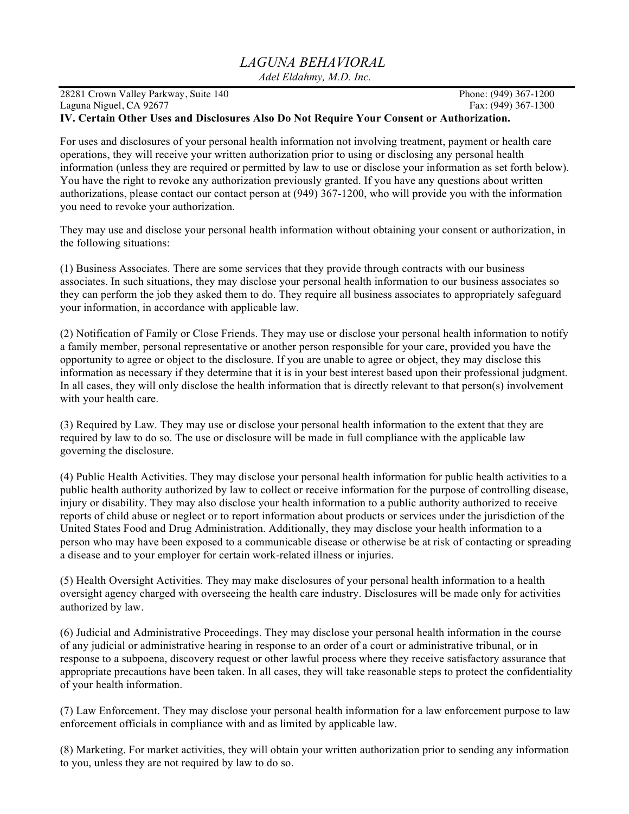*Adel Eldahmy, M.D. Inc.*

28281 Crown Valley Parkway, Suite 140 Phone: (949) 367-1200 Laguna Niguel, CA 92677 Fax: (949) 367-1300 **IV. Certain Other Uses and Disclosures Also Do Not Require Your Consent or Authorization.**

For uses and disclosures of your personal health information not involving treatment, payment or health care operations, they will receive your written authorization prior to using or disclosing any personal health information (unless they are required or permitted by law to use or disclose your information as set forth below). You have the right to revoke any authorization previously granted. If you have any questions about written authorizations, please contact our contact person at (949) 367-1200, who will provide you with the information you need to revoke your authorization.

They may use and disclose your personal health information without obtaining your consent or authorization, in the following situations:

(1) Business Associates. There are some services that they provide through contracts with our business associates. In such situations, they may disclose your personal health information to our business associates so they can perform the job they asked them to do. They require all business associates to appropriately safeguard your information, in accordance with applicable law.

(2) Notification of Family or Close Friends. They may use or disclose your personal health information to notify a family member, personal representative or another person responsible for your care, provided you have the opportunity to agree or object to the disclosure. If you are unable to agree or object, they may disclose this information as necessary if they determine that it is in your best interest based upon their professional judgment. In all cases, they will only disclose the health information that is directly relevant to that person(s) involvement with your health care.

(3) Required by Law. They may use or disclose your personal health information to the extent that they are required by law to do so. The use or disclosure will be made in full compliance with the applicable law governing the disclosure.

(4) Public Health Activities. They may disclose your personal health information for public health activities to a public health authority authorized by law to collect or receive information for the purpose of controlling disease, injury or disability. They may also disclose your health information to a public authority authorized to receive reports of child abuse or neglect or to report information about products or services under the jurisdiction of the United States Food and Drug Administration. Additionally, they may disclose your health information to a person who may have been exposed to a communicable disease or otherwise be at risk of contacting or spreading a disease and to your employer for certain work-related illness or injuries.

(5) Health Oversight Activities. They may make disclosures of your personal health information to a health oversight agency charged with overseeing the health care industry. Disclosures will be made only for activities authorized by law.

(6) Judicial and Administrative Proceedings. They may disclose your personal health information in the course of any judicial or administrative hearing in response to an order of a court or administrative tribunal, or in response to a subpoena, discovery request or other lawful process where they receive satisfactory assurance that appropriate precautions have been taken. In all cases, they will take reasonable steps to protect the confidentiality of your health information.

(7) Law Enforcement. They may disclose your personal health information for a law enforcement purpose to law enforcement officials in compliance with and as limited by applicable law.

(8) Marketing. For market activities, they will obtain your written authorization prior to sending any information to you, unless they are not required by law to do so.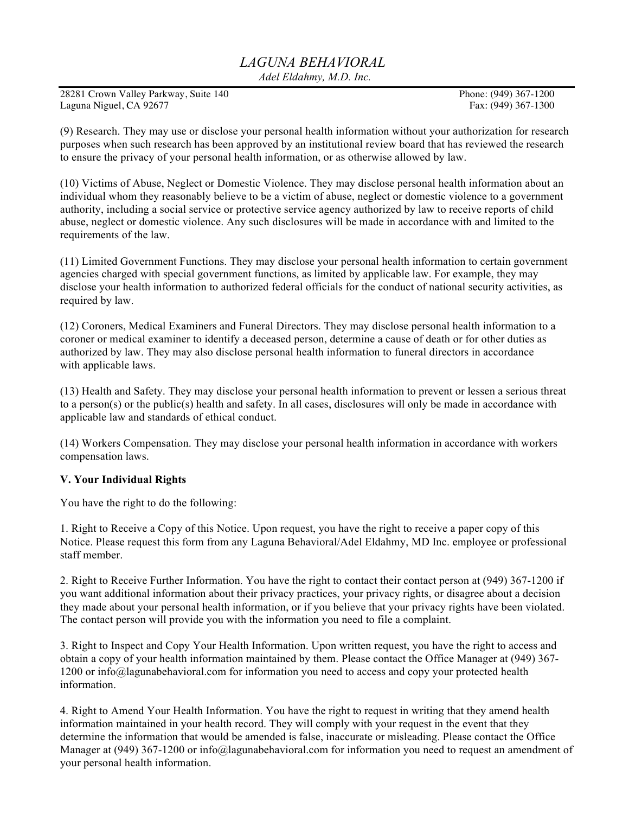*Adel Eldahmy, M.D. Inc.*

28281 Crown Valley Parkway, Suite 140 Phone: (949) 367-1200 Laguna Niguel, CA 92677 Fax: (949) 367-1300

(9) Research. They may use or disclose your personal health information without your authorization for research purposes when such research has been approved by an institutional review board that has reviewed the research to ensure the privacy of your personal health information, or as otherwise allowed by law.

(10) Victims of Abuse, Neglect or Domestic Violence. They may disclose personal health information about an individual whom they reasonably believe to be a victim of abuse, neglect or domestic violence to a government authority, including a social service or protective service agency authorized by law to receive reports of child abuse, neglect or domestic violence. Any such disclosures will be made in accordance with and limited to the requirements of the law.

(11) Limited Government Functions. They may disclose your personal health information to certain government agencies charged with special government functions, as limited by applicable law. For example, they may disclose your health information to authorized federal officials for the conduct of national security activities, as required by law.

(12) Coroners, Medical Examiners and Funeral Directors. They may disclose personal health information to a coroner or medical examiner to identify a deceased person, determine a cause of death or for other duties as authorized by law. They may also disclose personal health information to funeral directors in accordance with applicable laws.

(13) Health and Safety. They may disclose your personal health information to prevent or lessen a serious threat to a person(s) or the public(s) health and safety. In all cases, disclosures will only be made in accordance with applicable law and standards of ethical conduct.

(14) Workers Compensation. They may disclose your personal health information in accordance with workers compensation laws.

### **V. Your Individual Rights**

You have the right to do the following:

1. Right to Receive a Copy of this Notice. Upon request, you have the right to receive a paper copy of this Notice. Please request this form from any Laguna Behavioral/Adel Eldahmy, MD Inc. employee or professional staff member.

2. Right to Receive Further Information. You have the right to contact their contact person at (949) 367-1200 if you want additional information about their privacy practices, your privacy rights, or disagree about a decision they made about your personal health information, or if you believe that your privacy rights have been violated. The contact person will provide you with the information you need to file a complaint.

3. Right to Inspect and Copy Your Health Information. Upon written request, you have the right to access and obtain a copy of your health information maintained by them. Please contact the Office Manager at (949) 367- 1200 or info@lagunabehavioral.com for information you need to access and copy your protected health information.

4. Right to Amend Your Health Information. You have the right to request in writing that they amend health information maintained in your health record. They will comply with your request in the event that they determine the information that would be amended is false, inaccurate or misleading. Please contact the Office Manager at (949) 367-1200 or info@lagunabehavioral.com for information you need to request an amendment of your personal health information.